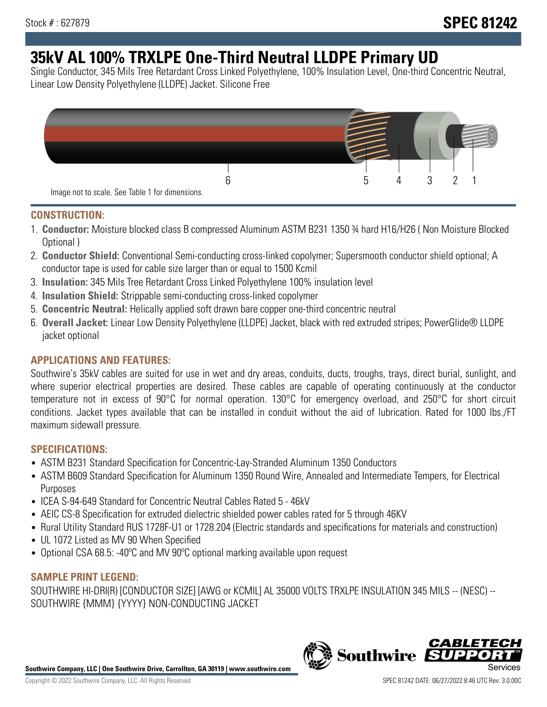# **35kV AL 100% TRXLPE One-Third Neutral LLDPE Primary UD**

Single Conductor, 345 Mils Tree Retardant Cross Linked Polyethylene, 100% Insulation Level, One-third Concentric Neutral, Linear Low Density Polyethylene (LLDPE) Jacket. Silicone Free



#### **CONSTRUCTION:**

- 1. **Conductor:** Moisture blocked class B compressed Aluminum ASTM B231 1350 ¾ hard H16/H26 ( Non Moisture Blocked Optional )
- 2. **Conductor Shield:** Conventional Semi-conducting cross-linked copolymer; Supersmooth conductor shield optional; A conductor tape is used for cable size larger than or equal to 1500 Kcmil
- 3. **Insulation:** 345 Mils Tree Retardant Cross Linked Polyethylene 100% insulation level
- 4. **Insulation Shield:** Strippable semi-conducting cross-linked copolymer
- 5. **Concentric Neutral:** Helically applied soft drawn bare copper one-third concentric neutral
- 6. **Overall Jacket:** Linear Low Density Polyethylene (LLDPE) Jacket, black with red extruded stripes; PowerGlide® LLDPE jacket optional

## **APPLICATIONS AND FEATURES:**

Southwire's 35kV cables are suited for use in wet and dry areas, conduits, ducts, troughs, trays, direct burial, sunlight, and where superior electrical properties are desired. These cables are capable of operating continuously at the conductor temperature not in excess of 90°C for normal operation. 130°C for emergency overload, and 250°C for short circuit conditions. Jacket types available that can be installed in conduit without the aid of lubrication. Rated for 1000 lbs./FT maximum sidewall pressure.

## **SPECIFICATIONS:**

- ASTM B231 Standard Specification for Concentric-Lay-Stranded Aluminum 1350 Conductors
- ASTM B609 Standard Specification for Aluminum 1350 Round Wire, Annealed and Intermediate Tempers, for Electrical Purposes
- ICEA S-94-649 Standard for Concentric Neutral Cables Rated 5 46kV
- AEIC CS-8 Specification for extruded dielectric shielded power cables rated for 5 through 46KV
- Rural Utility Standard RUS 1728F-U1 or 1728.204 (Electric standards and specifications for materials and construction)
- UL 1072 Listed as MV 90 When Specified
- Optional CSA 68.5: -40ºC and MV 90ºC optional marking available upon request

#### **SAMPLE PRINT LEGEND:**

SOUTHWIRE HI-DRI(R) [CONDUCTOR SIZE] [AWG or KCMIL] AL 35000 VOLTS TRXLPE INSULATION 345 MILS -- (NESC) -- SOUTHWIRE {MMM} {YYYY} NON-CONDUCTING JACKET

**Southwire Company, LLC | One Southwire Drive, Carrollton, GA 30119 | www.southwire.com**

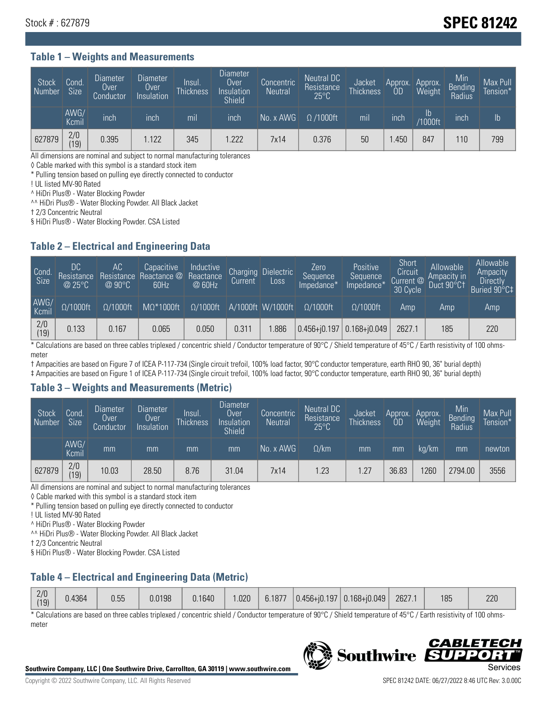# Stock # : 627879 **SPEC 81242**

## **Table 1 – Weights and Measurements**

| Stock<br>Number | Cond.<br><b>Size</b> | <b>Diameter</b><br>Over<br>Conductor | <b>Diameter</b><br>Over<br>Insulation | Insul.<br><b>Thickness</b> | Diameter<br>Over<br>Insulation<br><b>Shield</b> | Concentric<br><b>Neutral</b> | Neutral DC<br>Resistance<br>$25^{\circ}$ C | Jacket<br><b>Thickness</b> | Approx.<br>0D | Approx.<br>Weight | Min<br>Bending<br>Radius | Max Pull<br>Tension* |
|-----------------|----------------------|--------------------------------------|---------------------------------------|----------------------------|-------------------------------------------------|------------------------------|--------------------------------------------|----------------------------|---------------|-------------------|--------------------------|----------------------|
|                 | AWG/<br>Kcmil        | inch                                 | inch                                  | mil                        | inch                                            | No. x AWG                    | $\Omega$ /1000ft                           | mil                        | inch          | ID<br>/1000ft     | <b>Inch</b>              | $\mathsf{lb}$        |
| 627879          | 2/0<br> 19           | 0.395                                | 1.122                                 | 345                        | .222                                            | 7x14                         | 0.376                                      | 50                         | .450          | 847               | 110                      | 799                  |

All dimensions are nominal and subject to normal manufacturing tolerances

◊ Cable marked with this symbol is a standard stock item

\* Pulling tension based on pulling eye directly connected to conductor

! UL listed MV-90 Rated

^ HiDri Plus® - Water Blocking Powder

^^ HiDri Plus® - Water Blocking Powder. All Black Jacket

† 2/3 Concentric Neutral

§ HiDri Plus® - Water Blocking Powder. CSA Listed

#### **Table 2 – Electrical and Engineering Data**

| Cond                  | DC<br>Resistance<br>@25°C | АC<br>Resistance<br>$@90^{\circ}C$ | Capacitive<br>Reactance @<br>60Hz | Inductive<br>Reactance<br>@ 60Hz | Charging<br>Current | <b>Dielectric</b><br>Loss | Zero<br>'Sequence,<br>Impedance* | Positive<br>Sequence<br>Impedance <sup>®</sup> | Short<br>Circuit<br>Current <sup>@</sup><br>30 Cycle | Allowable<br>Ampacity in<br>Duct 90°C1 | Allowable<br>Ampacity<br><b>Directly</b><br>Buried 90°C‡ |
|-----------------------|---------------------------|------------------------------------|-----------------------------------|----------------------------------|---------------------|---------------------------|----------------------------------|------------------------------------------------|------------------------------------------------------|----------------------------------------|----------------------------------------------------------|
| AWG/<br>Kcmil         | $\Omega/1000$ ft          | $\Omega/1000$ ft                   | $M\Omega^*1000$ ft                | $\Omega/1000$ ft                 |                     | A/1000ft W/1000ft         | $\Omega/1000$ ft                 | $\Omega$ /1000ft                               | Amp                                                  | Amp                                    | Amp                                                      |
| $\frac{2}{0}$<br>(19) | 0.133                     | 0.167                              | 0.065                             | 0.050                            | 0.311               | .886                      | $0.456 + 0.197$ 0.168+ $0.049$   |                                                | 2627.1                                               | 185                                    | 220                                                      |

\* Calculations are based on three cables triplexed / concentric shield / Conductor temperature of 90°C / Shield temperature of 45°C / Earth resistivity of 100 ohmsmeter

† Ampacities are based on Figure 7 of ICEA P-117-734 (Single circuit trefoil, 100% load factor, 90°C conductor temperature, earth RHO 90, 36" burial depth)

‡ Ampacities are based on Figure 1 of ICEA P-117-734 (Single circuit trefoil, 100% load factor, 90°C conductor temperature, earth RHO 90, 36" burial depth)

#### **Table 3 – Weights and Measurements (Metric)**

| Stock<br>Number | Cond.<br>Size <sup>1</sup> | <b>Diameter</b><br><b>Over</b><br>Conductor | <b>Diameter</b><br><b>Over</b><br>Insulation | Insul.<br><b>Thickness</b> | <b>Diameter</b><br>Over<br>Insulation<br><b>Shield</b> | Concentric<br><b>Neutral</b> | Neutral DC<br>Resistance<br>$25^{\circ}$ C | Jacket<br><b>Thickness</b> | Approx.<br>OD | Approx.<br>Weight | Min<br>Bending<br>Radius | Max Pull<br>Tension* |
|-----------------|----------------------------|---------------------------------------------|----------------------------------------------|----------------------------|--------------------------------------------------------|------------------------------|--------------------------------------------|----------------------------|---------------|-------------------|--------------------------|----------------------|
|                 | AWG/<br>Kcmil              | mm                                          | mm                                           | mm                         | mm                                                     | No. x AWG                    | $\Omega$ /km                               | mm                         | mm            | ka/km             | mm                       | newton               |
| 627879          | 2/0<br>(19)                | 10.03                                       | 28.50                                        | 8.76                       | 31.04                                                  | 7x14                         | .23                                        | 1.27                       | 36.83         | 1260              | 2794.00                  | 3556                 |

All dimensions are nominal and subject to normal manufacturing tolerances

◊ Cable marked with this symbol is a standard stock item

\* Pulling tension based on pulling eye directly connected to conductor

! UL listed MV-90 Rated

^ HiDri Plus® - Water Blocking Powder

^^ HiDri Plus® - Water Blocking Powder. All Black Jacket

† 2/3 Concentric Neutral

§ HiDri Plus® - Water Blocking Powder. CSA Listed

## **Table 4 – Electrical and Engineering Data (Metric)**

| 2/0<br>(19) | 4364.ر | 0.55 | 0.0198 | 0.1640 | .020 | 6.1877 | $ 0.456 + i0.197 0.168 + i0.049 $ | 2627.1 | 185 | 220 |
|-------------|--------|------|--------|--------|------|--------|-----------------------------------|--------|-----|-----|
|             |        |      |        |        |      |        |                                   |        |     |     |

\* Calculations are based on three cables triplexed / concentric shield / Conductor temperature of 90°C / Shield temperature of 45°C / Earth resistivity of 100 ohmsmeter



*CABLE* 

 $\Box$ 

**Southwire**